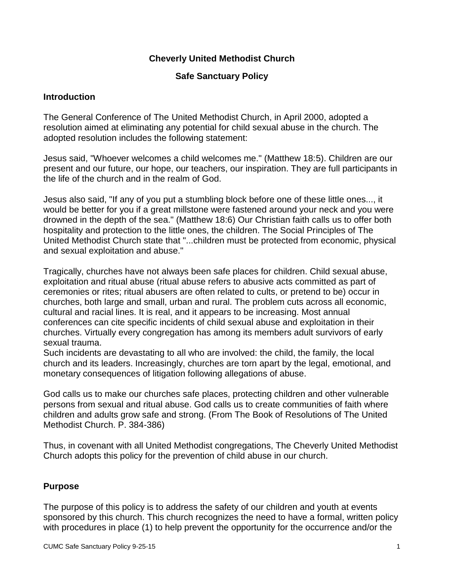## **Cheverly United Methodist Church**

### **Safe Sanctuary Policy**

#### **Introduction**

The General Conference of The United Methodist Church, in April 2000, adopted a resolution aimed at eliminating any potential for child sexual abuse in the church. The adopted resolution includes the following statement:

Jesus said, "Whoever welcomes a child welcomes me." (Matthew 18:5). Children are our present and our future, our hope, our teachers, our inspiration. They are full participants in the life of the church and in the realm of God.

Jesus also said, "If any of you put a stumbling block before one of these little ones..., it would be better for you if a great millstone were fastened around your neck and you were drowned in the depth of the sea." (Matthew 18:6) Our Christian faith calls us to offer both hospitality and protection to the little ones, the children. The Social Principles of The United Methodist Church state that "...children must be protected from economic, physical and sexual exploitation and abuse."

Tragically, churches have not always been safe places for children. Child sexual abuse, exploitation and ritual abuse (ritual abuse refers to abusive acts committed as part of ceremonies or rites; ritual abusers are often related to cults, or pretend to be) occur in churches, both large and small, urban and rural. The problem cuts across all economic, cultural and racial lines. It is real, and it appears to be increasing. Most annual conferences can cite specific incidents of child sexual abuse and exploitation in their churches. Virtually every congregation has among its members adult survivors of early sexual trauma.

Such incidents are devastating to all who are involved: the child, the family, the local church and its leaders. Increasingly, churches are torn apart by the legal, emotional, and monetary consequences of litigation following allegations of abuse.

God calls us to make our churches safe places, protecting children and other vulnerable persons from sexual and ritual abuse. God calls us to create communities of faith where children and adults grow safe and strong. (From The Book of Resolutions of The United Methodist Church. P. 384-386)

Thus, in covenant with all United Methodist congregations, The Cheverly United Methodist Church adopts this policy for the prevention of child abuse in our church.

### **Purpose**

The purpose of this policy is to address the safety of our children and youth at events sponsored by this church. This church recognizes the need to have a formal, written policy with procedures in place (1) to help prevent the opportunity for the occurrence and/or the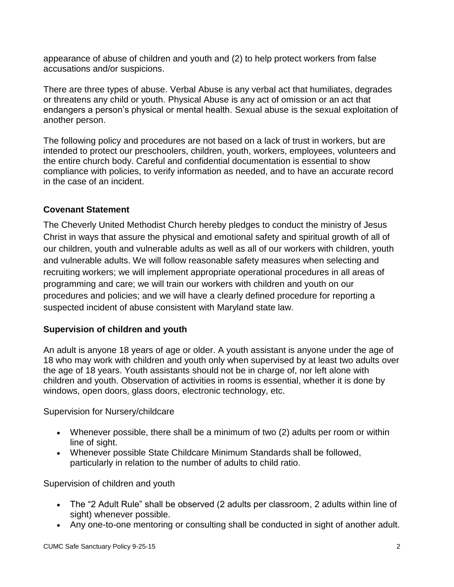appearance of abuse of children and youth and (2) to help protect workers from false accusations and/or suspicions.

There are three types of abuse. Verbal Abuse is any verbal act that humiliates, degrades or threatens any child or youth. Physical Abuse is any act of omission or an act that endangers a person's physical or mental health. Sexual abuse is the sexual exploitation of another person.

The following policy and procedures are not based on a lack of trust in workers, but are intended to protect our preschoolers, children, youth, workers, employees, volunteers and the entire church body. Careful and confidential documentation is essential to show compliance with policies, to verify information as needed, and to have an accurate record in the case of an incident.

## **Covenant Statement**

The Cheverly United Methodist Church hereby pledges to conduct the ministry of Jesus Christ in ways that assure the physical and emotional safety and spiritual growth of all of our children, youth and vulnerable adults as well as all of our workers with children, youth and vulnerable adults. We will follow reasonable safety measures when selecting and recruiting workers; we will implement appropriate operational procedures in all areas of programming and care; we will train our workers with children and youth on our procedures and policies; and we will have a clearly defined procedure for reporting a suspected incident of abuse consistent with Maryland state law.

### **Supervision of children and youth**

An adult is anyone 18 years of age or older. A youth assistant is anyone under the age of 18 who may work with children and youth only when supervised by at least two adults over the age of 18 years. Youth assistants should not be in charge of, nor left alone with children and youth. Observation of activities in rooms is essential, whether it is done by windows, open doors, glass doors, electronic technology, etc.

Supervision for Nursery/childcare

- Whenever possible, there shall be a minimum of two (2) adults per room or within line of sight.
- Whenever possible State Childcare Minimum Standards shall be followed, particularly in relation to the number of adults to child ratio.

Supervision of children and youth

- The "2 Adult Rule" shall be observed (2 adults per classroom, 2 adults within line of sight) whenever possible.
- Any one-to-one mentoring or consulting shall be conducted in sight of another adult.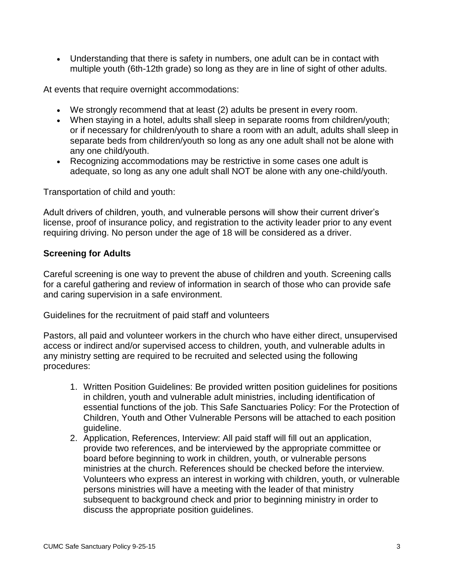Understanding that there is safety in numbers, one adult can be in contact with multiple youth (6th-12th grade) so long as they are in line of sight of other adults.

At events that require overnight accommodations:

- We strongly recommend that at least (2) adults be present in every room.
- When staying in a hotel, adults shall sleep in separate rooms from children/youth; or if necessary for children/youth to share a room with an adult, adults shall sleep in separate beds from children/youth so long as any one adult shall not be alone with any one child/youth.
- Recognizing accommodations may be restrictive in some cases one adult is adequate, so long as any one adult shall NOT be alone with any one-child/youth.

Transportation of child and youth:

Adult drivers of children, youth, and vulnerable persons will show their current driver's license, proof of insurance policy, and registration to the activity leader prior to any event requiring driving. No person under the age of 18 will be considered as a driver.

# **Screening for Adults**

Careful screening is one way to prevent the abuse of children and youth. Screening calls for a careful gathering and review of information in search of those who can provide safe and caring supervision in a safe environment.

Guidelines for the recruitment of paid staff and volunteers

Pastors, all paid and volunteer workers in the church who have either direct, unsupervised access or indirect and/or supervised access to children, youth, and vulnerable adults in any ministry setting are required to be recruited and selected using the following procedures:

- 1. Written Position Guidelines: Be provided written position guidelines for positions in children, youth and vulnerable adult ministries, including identification of essential functions of the job. This Safe Sanctuaries Policy: For the Protection of Children, Youth and Other Vulnerable Persons will be attached to each position guideline.
- 2. Application, References, Interview: All paid staff will fill out an application, provide two references, and be interviewed by the appropriate committee or board before beginning to work in children, youth, or vulnerable persons ministries at the church. References should be checked before the interview. Volunteers who express an interest in working with children, youth, or vulnerable persons ministries will have a meeting with the leader of that ministry subsequent to background check and prior to beginning ministry in order to discuss the appropriate position guidelines.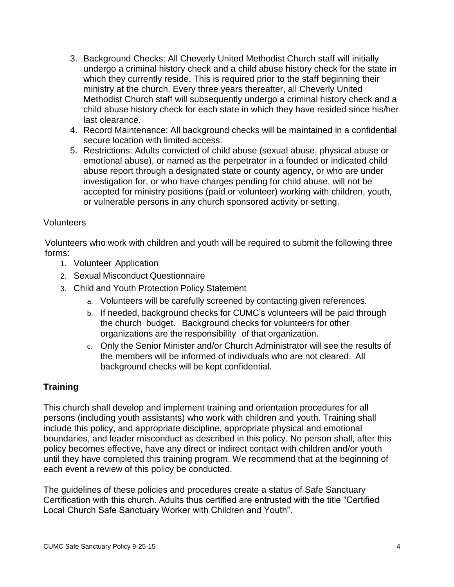- 3. Background Checks: All Cheverly United Methodist Church staff will initially undergo a criminal history check and a child abuse history check for the state in which they currently reside. This is required prior to the staff beginning their ministry at the church. Every three years thereafter, all Cheverly United Methodist Church staff will subsequently undergo a criminal history check and a child abuse history check for each state in which they have resided since his/her last clearance.
- 4. Record Maintenance: All background checks will be maintained in a confidential secure location with limited access.
- 5. Restrictions: Adults convicted of child abuse (sexual abuse, physical abuse or emotional abuse), or named as the perpetrator in a founded or indicated child abuse report through a designated state or county agency, or who are under investigation for, or who have charges pending for child abuse, will not be accepted for ministry positions (paid or volunteer) working with children, youth, or vulnerable persons in any church sponsored activity or setting.

### **Volunteers**

Volunteers who work with children and youth will be required to submit the following three forms:

- 1. Volunteer Application
- 2. Sexual Misconduct Questionnaire
- 3. Child and Youth Protection Policy Statement
	- a. Volunteers will be carefully screened by contacting given references.
	- b. If needed, background checks for CUMC's volunteers will be paid through the church budget. Background checks for volunteers for other organizations are the responsibility of that organization.
	- c. Only the Senior Minister and/or Church Administrator will see the results of the members will be informed of individuals who are not cleared. All background checks will be kept confidential.

# **Training**

This church shall develop and implement training and orientation procedures for all persons (including youth assistants) who work with children and youth. Training shall include this policy, and appropriate discipline, appropriate physical and emotional boundaries, and leader misconduct as described in this policy. No person shall, after this policy becomes effective, have any direct or indirect contact with children and/or youth until they have completed this training program. We recommend that at the beginning of each event a review of this policy be conducted.

The guidelines of these policies and procedures create a status of Safe Sanctuary Certification with this church. Adults thus certified are entrusted with the title "Certified Local Church Safe Sanctuary Worker with Children and Youth".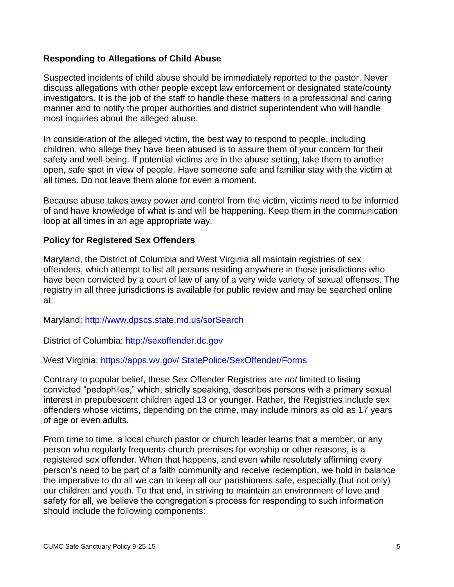### **Responding to Allegations of Child Abuse**

Suspected incidents of child abuse should be immediately reported to the pastor. Never discuss allegations with other people except law enforcement or designated state/county investigators. It is the job of the staff to handle these matters in a professional and caring manner and to notify the proper authorities and district superintendent who will handle most inquiries about the alleged abuse.

In consideration of the alleged victim, the best way to respond to people, including children, who allege they have been abused is to assure them of your concern for their safety and well-being. If potential victims are in the abuse setting, take them to another open, safe spot in view of people. Have someone safe and familiar stay with the victim at all times. Do not leave them alone for even a moment.

Because abuse takes away power and control from the victim, victims need to be informed of and have knowledge of what is and will be happening. Keep them in the communication loop at all times in an age appropriate way.

## **Policy for Registered Sex Offenders**

Maryland, the District of Columbia and West Virginia all maintain registries of sex offenders, which attempt to list all persons residing anywhere in those jurisdictions who have been convicted by a court of law of any of a very wide variety of sexual offenses. The registry in all three jurisdictions is available for public review and may be searched online at:

Maryland: http://www.dpscs.state.md.us/sorSearch

District of Columbia: http://sexoffender.dc.gov

West Virginia: https://apps.wv.gov/ StatePolice/SexOffender/Forms

Contrary to popular belief, these Sex Offender Registries are *not* limited to listing convicted "pedophiles," which, strictly speaking, describes persons with a primary sexual interest in prepubescent children aged 13 or younger. Rather, the Registries include sex offenders whose victims, depending on the crime, may include minors as old as 17 years of age or even adults.

From time to time, a local church pastor or church leader learns that a member, or any person who regularly frequents church premises for worship or other reasons, is a registered sex offender. When that happens, and even while resolutely affirming every person's need to be part of a faith community and receive redemption, we hold in balance the imperative to do all we can to keep all our parishioners safe, especially (but not only) our children and youth. To that end, in striving to maintain an environment of love and safety for all, we believe the congregation's process for responding to such information should include the following components: